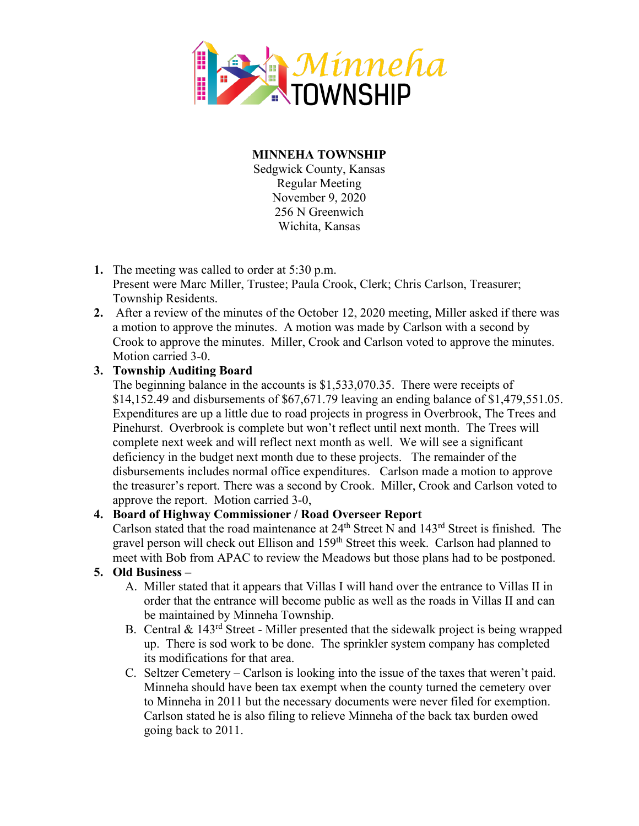

**MINNEHA TOWNSHIP** Sedgwick County, Kansas Regular Meeting November 9, 2020 256 N Greenwich Wichita, Kansas

- **1.** The meeting was called to order at 5:30 p.m.
	- Present were Marc Miller, Trustee; Paula Crook, Clerk; Chris Carlson, Treasurer; Township Residents.
- **2.** After a review of the minutes of the October 12, 2020 meeting, Miller asked if there was a motion to approve the minutes. A motion was made by Carlson with a second by Crook to approve the minutes. Miller, Crook and Carlson voted to approve the minutes. Motion carried 3-0.

# **3. Township Auditing Board**

The beginning balance in the accounts is \$1,533,070.35. There were receipts of \$14,152.49 and disbursements of \$67,671.79 leaving an ending balance of \$1,479,551.05. Expenditures are up a little due to road projects in progress in Overbrook, The Trees and Pinehurst. Overbrook is complete but won't reflect until next month. The Trees will complete next week and will reflect next month as well. We will see a significant deficiency in the budget next month due to these projects. The remainder of the disbursements includes normal office expenditures. Carlson made a motion to approve the treasurer's report. There was a second by Crook. Miller, Crook and Carlson voted to approve the report. Motion carried 3-0,

# **4. Board of Highway Commissioner / Road Overseer Report**

Carlson stated that the road maintenance at 24<sup>th</sup> Street N and 143<sup>rd</sup> Street is finished. The gravel person will check out Ellison and 159<sup>th</sup> Street this week. Carlson had planned to meet with Bob from APAC to review the Meadows but those plans had to be postponed.

# **5. Old Business –**

- A. Miller stated that it appears that Villas I will hand over the entrance to Villas II in order that the entrance will become public as well as the roads in Villas II and can be maintained by Minneha Township.
- B. Central  $\&$  143<sup>rd</sup> Street Miller presented that the sidewalk project is being wrapped up. There is sod work to be done. The sprinkler system company has completed its modifications for that area.
- C. Seltzer Cemetery Carlson is looking into the issue of the taxes that weren't paid. Minneha should have been tax exempt when the county turned the cemetery over to Minneha in 2011 but the necessary documents were never filed for exemption. Carlson stated he is also filing to relieve Minneha of the back tax burden owed going back to 2011.